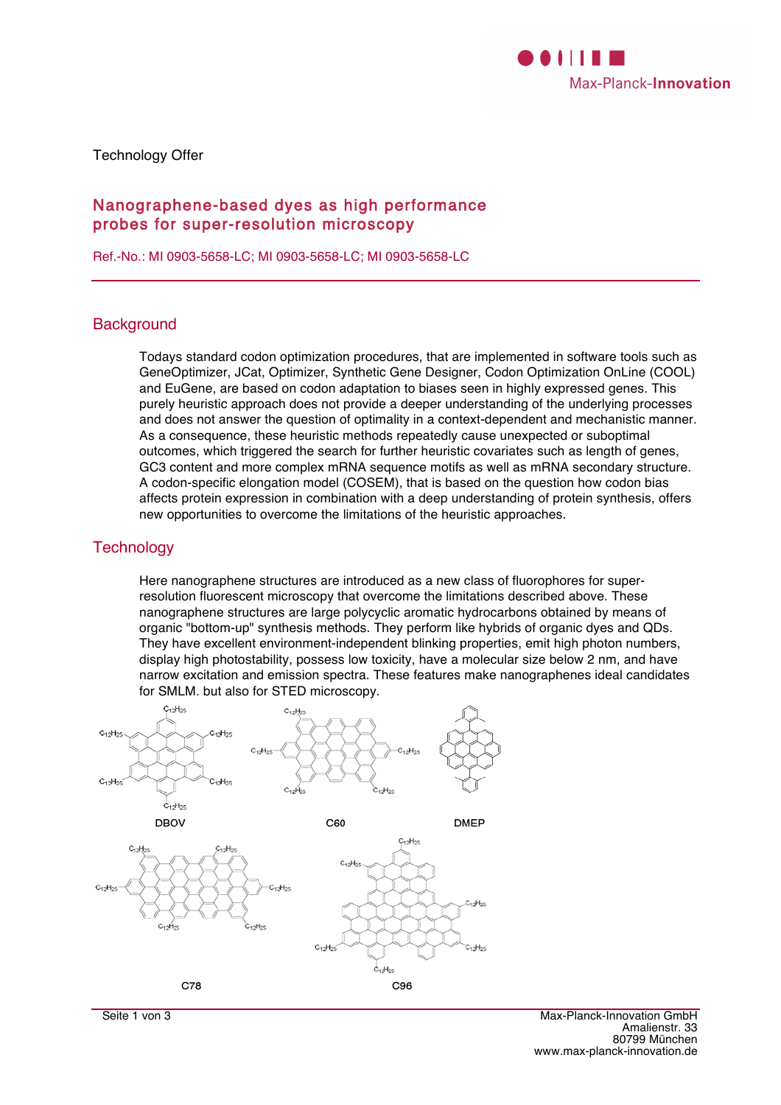

Technology Offer

# Nanographene-based dyes as high performance probes for super-resolution microscopy

Ref.-No.: MI 0903-5658-LC; MI 0903-5658-LC; MI 0903-5658-LC

## **Background**

Todays standard codon optimization procedures, that are implemented in software tools such as GeneOptimizer, JCat, Optimizer, Synthetic Gene Designer, Codon Optimization OnLine (COOL) and EuGene, are based on codon adaptation to biases seen in highly expressed genes. This purely heuristic approach does not provide a deeper understanding of the underlying processes and does not answer the question of optimality in a context-dependent and mechanistic manner. As a consequence, these heuristic methods repeatedly cause unexpected or suboptimal outcomes, which triggered the search for further heuristic covariates such as length of genes, GC3 content and more complex mRNA sequence motifs as well as mRNA secondary structure. A codon-specific elongation model (COSEM), that is based on the question how codon bias affects protein expression in combination with a deep understanding of protein synthesis, offers new opportunities to overcome the limitations of the heuristic approaches.

## **Technology**

Here nanographene structures are introduced as a new class of fluorophores for superresolution fluorescent microscopy that overcome the limitations described above. These nanographene structures are large polycyclic aromatic hydrocarbons obtained by means of organic "bottom-up" synthesis methods. They perform like hybrids of organic dyes and QDs. They have excellent environment-independent blinking properties, emit high photon numbers, display high photostability, possess low toxicity, have a molecular size below 2 nm, and have narrow excitation and emission spectra. These features make nanographenes ideal candidates for SMLM. but also for STED microscopy.

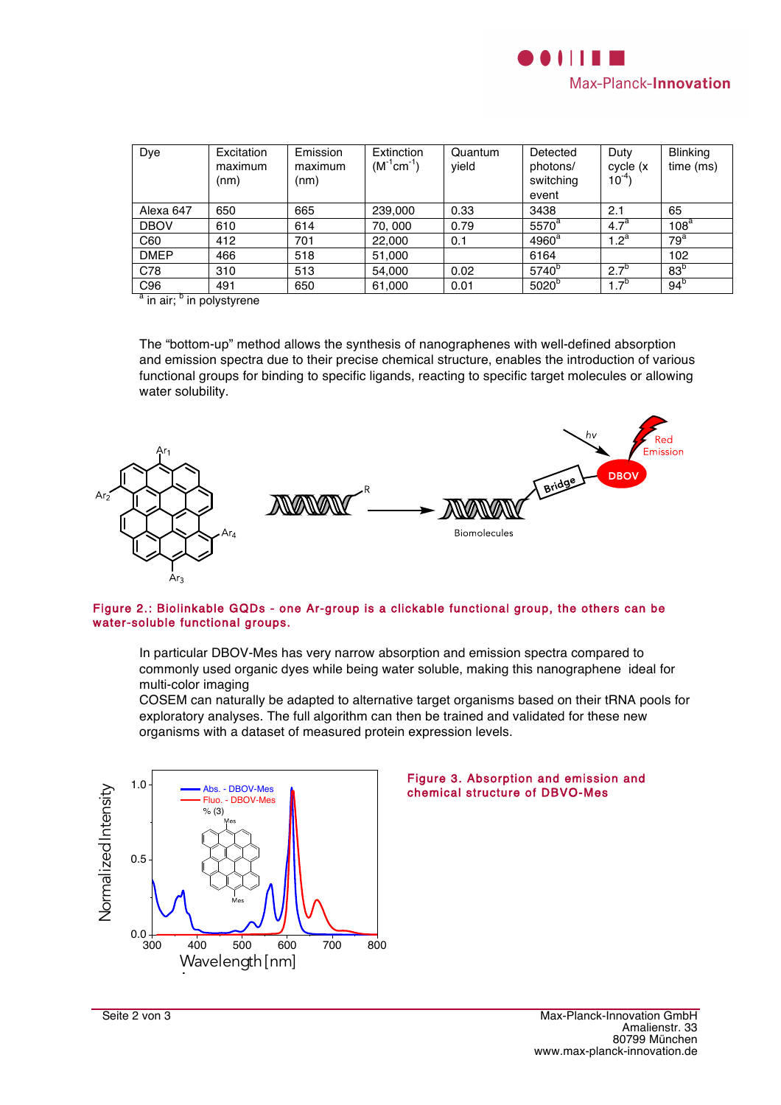

| Dye           | Excitation<br>maximum<br>(nm) | Emission<br>maximum<br>(nm) | Extinction<br>$(M^{-1}cm^{-1})$ | Quantum<br>yield | Detected<br>photons/<br>switching<br>event | Duty<br>cycle (x<br>$10^{-4}$ | <b>Blinking</b><br>time (ms) |
|---------------|-------------------------------|-----------------------------|---------------------------------|------------------|--------------------------------------------|-------------------------------|------------------------------|
| Alexa 647     | 650                           | 665                         | 239,000                         | 0.33             | 3438                                       | 2.1                           | 65                           |
| <b>DBOV</b>   | 610                           | 614                         | 70,000                          | 0.79             | $5570^a$                                   | $\overline{4.7}^a$            | 108 <sup>a</sup>             |
| C60           | 412                           | 701                         | 22,000                          | 0.1              | $4960^a$                                   | $1.2^a$                       | 79 <sup>a</sup>              |
| <b>DMEP</b>   | 466                           | 518                         | 51,000                          |                  | 6164                                       |                               | 102                          |
| C78           | 310                           | 513                         | 54,000                          | 0.02             | 5740 <sup>b</sup>                          | $2.7^{b}$                     | 83 <sup>b</sup>              |
| C96<br>$\sim$ | 491                           | 650                         | 61,000                          | 0.01             | 5020 <sup>b</sup>                          | $1.7^{o}$                     | $94^{\circ}$                 |

<sup>a</sup> in air; <sup>b</sup> in polystyrene

The "bottom-up" method allows the synthesis of nanographenes with well-defined absorption and emission spectra due to their precise chemical structure, enables the introduction of various functional groups for binding to specific ligands, reacting to specific target molecules or allowing water solubility.



#### Figure 2.: Biolinkable GQDs - one Ar-group is a clickable functional group, the others can be water-soluble functional groups.

In particular DBOV-Mes has very narrow absorption and emission spectra compared to commonly used organic dyes while being water soluble, making this nanographene ideal for multi-color imaging

COSEM can naturally be adapted to alternative target organisms based on their tRNA pools for exploratory analyses. The full algorithm can then be trained and validated for these new organisms with a dataset of measured protein expression levels.



#### Figure 3. Absorption and emission and chemical structure of DBVO-Mes